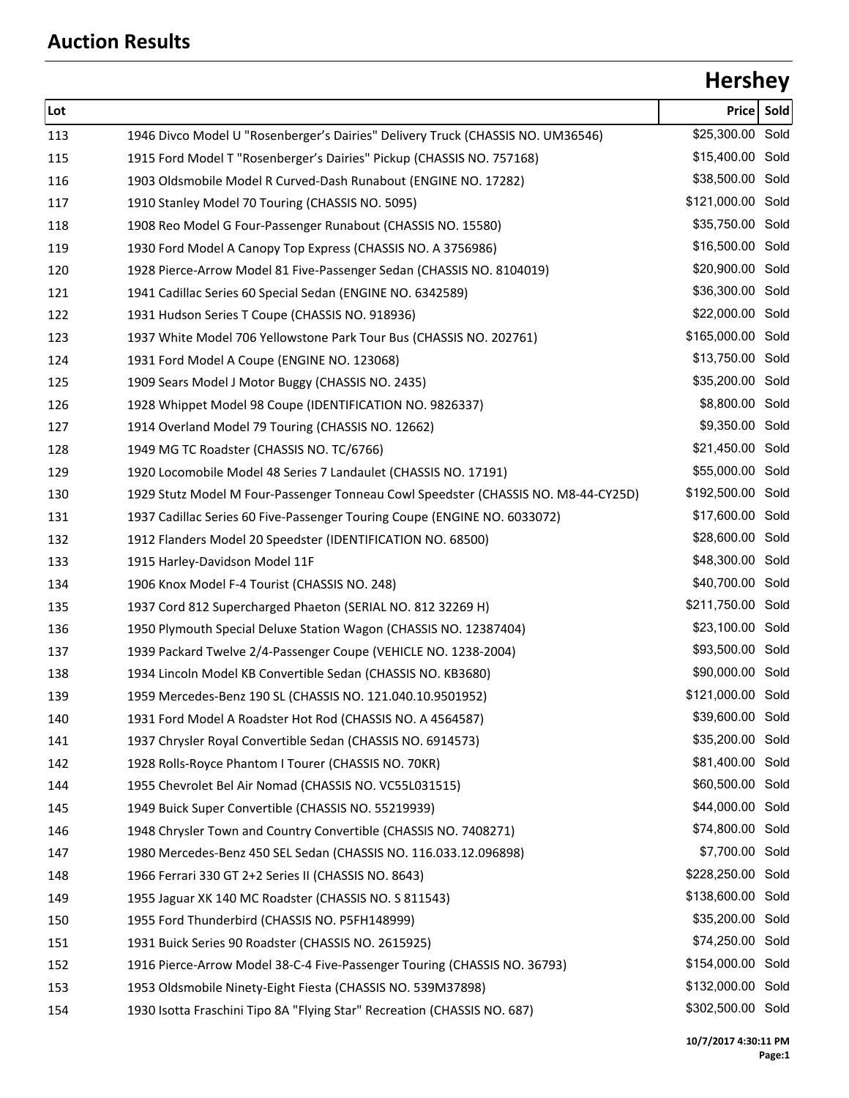# **Hershey**

| Lot |                                                                                    | Price             | Sold |
|-----|------------------------------------------------------------------------------------|-------------------|------|
| 113 | 1946 Divco Model U "Rosenberger's Dairies" Delivery Truck (CHASSIS NO. UM36546)    | \$25,300.00 Sold  |      |
| 115 | 1915 Ford Model T "Rosenberger's Dairies" Pickup (CHASSIS NO. 757168)              | \$15,400.00 Sold  |      |
| 116 | 1903 Oldsmobile Model R Curved-Dash Runabout (ENGINE NO. 17282)                    | \$38,500.00 Sold  |      |
| 117 | 1910 Stanley Model 70 Touring (CHASSIS NO. 5095)                                   | \$121,000.00 Sold |      |
| 118 | 1908 Reo Model G Four-Passenger Runabout (CHASSIS NO. 15580)                       | \$35,750.00 Sold  |      |
| 119 | 1930 Ford Model A Canopy Top Express (CHASSIS NO. A 3756986)                       | \$16,500.00 Sold  |      |
| 120 | 1928 Pierce-Arrow Model 81 Five-Passenger Sedan (CHASSIS NO. 8104019)              | \$20,900.00 Sold  |      |
| 121 | 1941 Cadillac Series 60 Special Sedan (ENGINE NO. 6342589)                         | \$36,300.00 Sold  |      |
| 122 | 1931 Hudson Series T Coupe (CHASSIS NO. 918936)                                    | \$22,000.00 Sold  |      |
| 123 | 1937 White Model 706 Yellowstone Park Tour Bus (CHASSIS NO. 202761)                | \$165,000.00 Sold |      |
| 124 | 1931 Ford Model A Coupe (ENGINE NO. 123068)                                        | \$13,750.00 Sold  |      |
| 125 | 1909 Sears Model J Motor Buggy (CHASSIS NO. 2435)                                  | \$35,200.00 Sold  |      |
| 126 | 1928 Whippet Model 98 Coupe (IDENTIFICATION NO. 9826337)                           | \$8,800.00 Sold   |      |
| 127 | 1914 Overland Model 79 Touring (CHASSIS NO. 12662)                                 | \$9,350.00 Sold   |      |
| 128 | 1949 MG TC Roadster (CHASSIS NO. TC/6766)                                          | \$21,450.00 Sold  |      |
| 129 | 1920 Locomobile Model 48 Series 7 Landaulet (CHASSIS NO. 17191)                    | \$55,000.00 Sold  |      |
| 130 | 1929 Stutz Model M Four-Passenger Tonneau Cowl Speedster (CHASSIS NO. M8-44-CY25D) | \$192,500.00 Sold |      |
| 131 | 1937 Cadillac Series 60 Five-Passenger Touring Coupe (ENGINE NO. 6033072)          | \$17,600.00 Sold  |      |
| 132 | 1912 Flanders Model 20 Speedster (IDENTIFICATION NO. 68500)                        | \$28,600.00 Sold  |      |
| 133 | 1915 Harley-Davidson Model 11F                                                     | \$48,300.00 Sold  |      |
| 134 | 1906 Knox Model F-4 Tourist (CHASSIS NO. 248)                                      | \$40,700.00 Sold  |      |
| 135 | 1937 Cord 812 Supercharged Phaeton (SERIAL NO. 812 32269 H)                        | \$211,750.00 Sold |      |
| 136 | 1950 Plymouth Special Deluxe Station Wagon (CHASSIS NO. 12387404)                  | \$23,100.00 Sold  |      |
| 137 | 1939 Packard Twelve 2/4-Passenger Coupe (VEHICLE NO. 1238-2004)                    | \$93,500.00 Sold  |      |
| 138 | 1934 Lincoln Model KB Convertible Sedan (CHASSIS NO. KB3680)                       | \$90,000.00 Sold  |      |
| 139 | 1959 Mercedes-Benz 190 SL (CHASSIS NO. 121.040.10.9501952)                         | \$121,000.00 Sold |      |
| 140 | 1931 Ford Model A Roadster Hot Rod (CHASSIS NO. A 4564587)                         | \$39,600.00 Sold  |      |
| 141 | 1937 Chrysler Royal Convertible Sedan (CHASSIS NO. 6914573)                        | \$35,200.00 Sold  |      |
| 142 | 1928 Rolls-Royce Phantom I Tourer (CHASSIS NO. 70KR)                               | \$81,400.00 Sold  |      |
| 144 | 1955 Chevrolet Bel Air Nomad (CHASSIS NO. VC55L031515)                             | \$60,500.00 Sold  |      |
| 145 | 1949 Buick Super Convertible (CHASSIS NO. 55219939)                                | \$44,000.00 Sold  |      |
| 146 | 1948 Chrysler Town and Country Convertible (CHASSIS NO. 7408271)                   | \$74,800.00 Sold  |      |
| 147 | 1980 Mercedes-Benz 450 SEL Sedan (CHASSIS NO. 116.033.12.096898)                   | \$7,700.00 Sold   |      |
| 148 | 1966 Ferrari 330 GT 2+2 Series II (CHASSIS NO. 8643)                               | \$228,250.00 Sold |      |
| 149 | 1955 Jaguar XK 140 MC Roadster (CHASSIS NO. S 811543)                              | \$138,600.00 Sold |      |
| 150 | 1955 Ford Thunderbird (CHASSIS NO. P5FH148999)                                     | \$35,200.00 Sold  |      |
| 151 | 1931 Buick Series 90 Roadster (CHASSIS NO. 2615925)                                | \$74,250.00 Sold  |      |
| 152 | 1916 Pierce-Arrow Model 38-C-4 Five-Passenger Touring (CHASSIS NO. 36793)          | \$154,000.00 Sold |      |
| 153 | 1953 Oldsmobile Ninety-Eight Fiesta (CHASSIS NO. 539M37898)                        | \$132,000.00 Sold |      |
| 154 | 1930 Isotta Fraschini Tipo 8A "Flying Star" Recreation (CHASSIS NO. 687)           | \$302,500.00 Sold |      |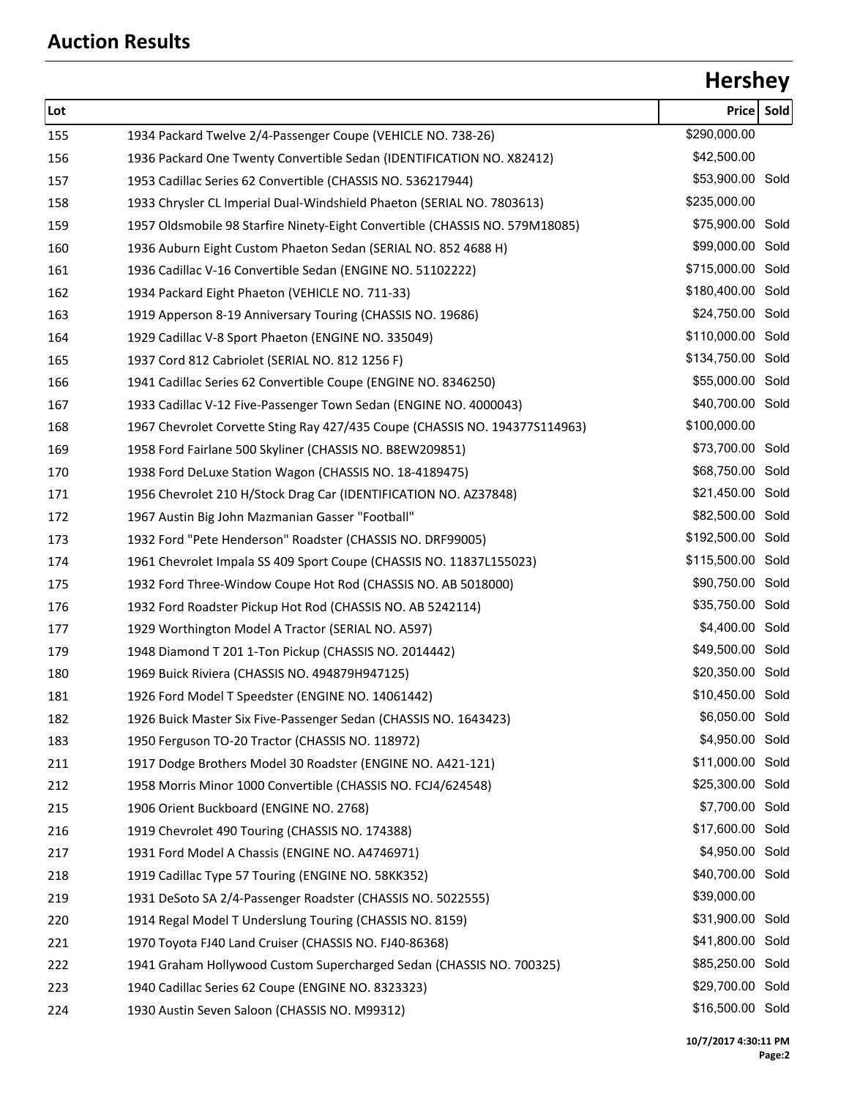# **Hershey**

| Lot |                                                                              | <b>Price</b>      | Sold |
|-----|------------------------------------------------------------------------------|-------------------|------|
| 155 | 1934 Packard Twelve 2/4-Passenger Coupe (VEHICLE NO. 738-26)                 | \$290,000.00      |      |
| 156 | 1936 Packard One Twenty Convertible Sedan (IDENTIFICATION NO. X82412)        | \$42,500.00       |      |
| 157 | 1953 Cadillac Series 62 Convertible (CHASSIS NO. 536217944)                  | \$53,900.00 Sold  |      |
| 158 | 1933 Chrysler CL Imperial Dual-Windshield Phaeton (SERIAL NO. 7803613)       | \$235,000.00      |      |
| 159 | 1957 Oldsmobile 98 Starfire Ninety-Eight Convertible (CHASSIS NO. 579M18085) | \$75,900.00 Sold  |      |
| 160 | 1936 Auburn Eight Custom Phaeton Sedan (SERIAL NO. 852 4688 H)               | \$99,000.00 Sold  |      |
| 161 | 1936 Cadillac V-16 Convertible Sedan (ENGINE NO. 51102222)                   | \$715,000.00 Sold |      |
| 162 | 1934 Packard Eight Phaeton (VEHICLE NO. 711-33)                              | \$180,400.00 Sold |      |
| 163 | 1919 Apperson 8-19 Anniversary Touring (CHASSIS NO. 19686)                   | \$24,750.00 Sold  |      |
| 164 | 1929 Cadillac V-8 Sport Phaeton (ENGINE NO. 335049)                          | \$110,000.00 Sold |      |
| 165 | 1937 Cord 812 Cabriolet (SERIAL NO. 812 1256 F)                              | \$134,750.00 Sold |      |
| 166 | 1941 Cadillac Series 62 Convertible Coupe (ENGINE NO. 8346250)               | \$55,000.00 Sold  |      |
| 167 | 1933 Cadillac V-12 Five-Passenger Town Sedan (ENGINE NO. 4000043)            | \$40,700.00 Sold  |      |
| 168 | 1967 Chevrolet Corvette Sting Ray 427/435 Coupe (CHASSIS NO. 1943775114963)  | \$100,000.00      |      |
| 169 | 1958 Ford Fairlane 500 Skyliner (CHASSIS NO. B8EW209851)                     | \$73,700.00 Sold  |      |
| 170 | 1938 Ford DeLuxe Station Wagon (CHASSIS NO. 18-4189475)                      | \$68,750.00 Sold  |      |
| 171 | 1956 Chevrolet 210 H/Stock Drag Car (IDENTIFICATION NO. AZ37848)             | \$21,450.00 Sold  |      |
| 172 | 1967 Austin Big John Mazmanian Gasser "Football"                             | \$82,500.00 Sold  |      |
| 173 | 1932 Ford "Pete Henderson" Roadster (CHASSIS NO. DRF99005)                   | \$192,500.00 Sold |      |
| 174 | 1961 Chevrolet Impala SS 409 Sport Coupe (CHASSIS NO. 11837L155023)          | \$115,500.00 Sold |      |
| 175 | 1932 Ford Three-Window Coupe Hot Rod (CHASSIS NO. AB 5018000)                | \$90,750.00 Sold  |      |
| 176 | 1932 Ford Roadster Pickup Hot Rod (CHASSIS NO. AB 5242114)                   | \$35,750.00 Sold  |      |
| 177 | 1929 Worthington Model A Tractor (SERIAL NO. A597)                           | \$4,400.00 Sold   |      |
| 179 | 1948 Diamond T 201 1-Ton Pickup (CHASSIS NO. 2014442)                        | \$49,500.00 Sold  |      |
| 180 | 1969 Buick Riviera (CHASSIS NO. 494879H947125)                               | \$20,350.00 Sold  |      |
| 181 | 1926 Ford Model T Speedster (ENGINE NO. 14061442)                            | \$10,450.00 Sold  |      |
| 182 | 1926 Buick Master Six Five-Passenger Sedan (CHASSIS NO. 1643423)             | \$6,050.00 Sold   |      |
| 183 | 1950 Ferguson TO-20 Tractor (CHASSIS NO. 118972)                             | \$4,950.00 Sold   |      |
| 211 | 1917 Dodge Brothers Model 30 Roadster (ENGINE NO. A421-121)                  | \$11,000.00 Sold  |      |
| 212 | 1958 Morris Minor 1000 Convertible (CHASSIS NO. FCJ4/624548)                 | \$25,300.00 Sold  |      |
| 215 | 1906 Orient Buckboard (ENGINE NO. 2768)                                      | \$7,700.00 Sold   |      |
| 216 | 1919 Chevrolet 490 Touring (CHASSIS NO. 174388)                              | \$17,600.00 Sold  |      |
| 217 | 1931 Ford Model A Chassis (ENGINE NO. A4746971)                              | \$4,950.00 Sold   |      |
| 218 | 1919 Cadillac Type 57 Touring (ENGINE NO. 58KK352)                           | \$40,700.00 Sold  |      |
| 219 | 1931 DeSoto SA 2/4-Passenger Roadster (CHASSIS NO. 5022555)                  | \$39,000.00       |      |
| 220 | 1914 Regal Model T Underslung Touring (CHASSIS NO. 8159)                     | \$31,900.00 Sold  |      |
| 221 | 1970 Toyota FJ40 Land Cruiser (CHASSIS NO. FJ40-86368)                       | \$41,800.00 Sold  |      |
| 222 | 1941 Graham Hollywood Custom Supercharged Sedan (CHASSIS NO. 700325)         | \$85,250.00 Sold  |      |
| 223 | 1940 Cadillac Series 62 Coupe (ENGINE NO. 8323323)                           | \$29,700.00 Sold  |      |
| 224 | 1930 Austin Seven Saloon (CHASSIS NO. M99312)                                | \$16,500.00 Sold  |      |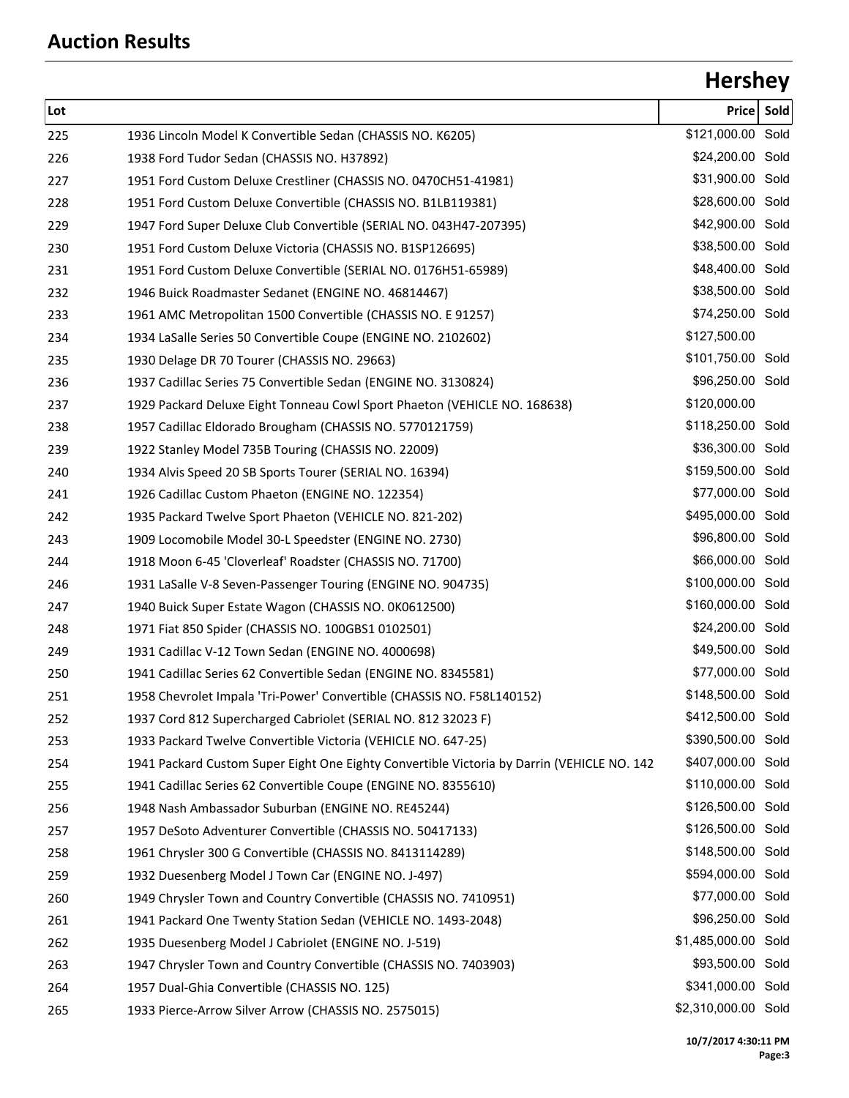## **Hershey**

| Lot |                                                                                            | <b>Price</b>        | Sold |
|-----|--------------------------------------------------------------------------------------------|---------------------|------|
| 225 | 1936 Lincoln Model K Convertible Sedan (CHASSIS NO. K6205)                                 | \$121,000.00 Sold   |      |
| 226 | 1938 Ford Tudor Sedan (CHASSIS NO. H37892)                                                 | \$24,200.00 Sold    |      |
| 227 | 1951 Ford Custom Deluxe Crestliner (CHASSIS NO. 0470CH51-41981)                            | \$31,900.00 Sold    |      |
| 228 | 1951 Ford Custom Deluxe Convertible (CHASSIS NO. B1LB119381)                               | \$28,600.00 Sold    |      |
| 229 | 1947 Ford Super Deluxe Club Convertible (SERIAL NO. 043H47-207395)                         | \$42,900.00 Sold    |      |
| 230 | 1951 Ford Custom Deluxe Victoria (CHASSIS NO. B1SP126695)                                  | \$38,500.00 Sold    |      |
| 231 | 1951 Ford Custom Deluxe Convertible (SERIAL NO. 0176H51-65989)                             | \$48,400.00 Sold    |      |
| 232 | 1946 Buick Roadmaster Sedanet (ENGINE NO. 46814467)                                        | \$38,500.00 Sold    |      |
| 233 | 1961 AMC Metropolitan 1500 Convertible (CHASSIS NO. E 91257)                               | \$74,250.00 Sold    |      |
| 234 | 1934 LaSalle Series 50 Convertible Coupe (ENGINE NO. 2102602)                              | \$127,500.00        |      |
| 235 | 1930 Delage DR 70 Tourer (CHASSIS NO. 29663)                                               | \$101,750.00 Sold   |      |
| 236 | 1937 Cadillac Series 75 Convertible Sedan (ENGINE NO. 3130824)                             | \$96,250.00 Sold    |      |
| 237 | 1929 Packard Deluxe Eight Tonneau Cowl Sport Phaeton (VEHICLE NO. 168638)                  | \$120,000.00        |      |
| 238 | 1957 Cadillac Eldorado Brougham (CHASSIS NO. 5770121759)                                   | \$118,250.00 Sold   |      |
| 239 | 1922 Stanley Model 735B Touring (CHASSIS NO. 22009)                                        | \$36,300.00 Sold    |      |
| 240 | 1934 Alvis Speed 20 SB Sports Tourer (SERIAL NO. 16394)                                    | \$159,500.00 Sold   |      |
| 241 | 1926 Cadillac Custom Phaeton (ENGINE NO. 122354)                                           | \$77,000.00 Sold    |      |
| 242 | 1935 Packard Twelve Sport Phaeton (VEHICLE NO. 821-202)                                    | \$495,000.00 Sold   |      |
| 243 | 1909 Locomobile Model 30-L Speedster (ENGINE NO. 2730)                                     | \$96,800.00 Sold    |      |
| 244 | 1918 Moon 6-45 'Cloverleaf' Roadster (CHASSIS NO. 71700)                                   | \$66,000.00 Sold    |      |
| 246 | 1931 LaSalle V-8 Seven-Passenger Touring (ENGINE NO. 904735)                               | \$100,000.00 Sold   |      |
| 247 | 1940 Buick Super Estate Wagon (CHASSIS NO. 0K0612500)                                      | \$160,000.00 Sold   |      |
| 248 | 1971 Fiat 850 Spider (CHASSIS NO. 100GBS1 0102501)                                         | \$24,200.00 Sold    |      |
| 249 | 1931 Cadillac V-12 Town Sedan (ENGINE NO. 4000698)                                         | \$49,500.00 Sold    |      |
| 250 | 1941 Cadillac Series 62 Convertible Sedan (ENGINE NO. 8345581)                             | \$77,000.00 Sold    |      |
| 251 | 1958 Chevrolet Impala 'Tri-Power' Convertible (CHASSIS NO. F58L140152)                     | \$148,500.00 Sold   |      |
| 252 | 1937 Cord 812 Supercharged Cabriolet (SERIAL NO. 812 32023 F)                              | \$412,500.00 Sold   |      |
| 253 | 1933 Packard Twelve Convertible Victoria (VEHICLE NO. 647-25)                              | \$390,500.00 Sold   |      |
| 254 | 1941 Packard Custom Super Eight One Eighty Convertible Victoria by Darrin (VEHICLE NO. 142 | \$407,000.00 Sold   |      |
| 255 | 1941 Cadillac Series 62 Convertible Coupe (ENGINE NO. 8355610)                             | \$110,000.00 Sold   |      |
| 256 | 1948 Nash Ambassador Suburban (ENGINE NO. RE45244)                                         | \$126,500.00 Sold   |      |
| 257 | 1957 DeSoto Adventurer Convertible (CHASSIS NO. 50417133)                                  | \$126,500.00 Sold   |      |
| 258 | 1961 Chrysler 300 G Convertible (CHASSIS NO. 8413114289)                                   | \$148,500.00 Sold   |      |
| 259 | 1932 Duesenberg Model J Town Car (ENGINE NO. J-497)                                        | \$594,000.00 Sold   |      |
| 260 | 1949 Chrysler Town and Country Convertible (CHASSIS NO. 7410951)                           | \$77,000.00 Sold    |      |
| 261 | 1941 Packard One Twenty Station Sedan (VEHICLE NO. 1493-2048)                              | \$96,250.00 Sold    |      |
| 262 | 1935 Duesenberg Model J Cabriolet (ENGINE NO. J-519)                                       | \$1,485,000.00 Sold |      |
| 263 | 1947 Chrysler Town and Country Convertible (CHASSIS NO. 7403903)                           | \$93,500.00 Sold    |      |
| 264 | 1957 Dual-Ghia Convertible (CHASSIS NO. 125)                                               | \$341,000.00 Sold   |      |
| 265 | 1933 Pierce-Arrow Silver Arrow (CHASSIS NO. 2575015)                                       | \$2,310,000.00 Sold |      |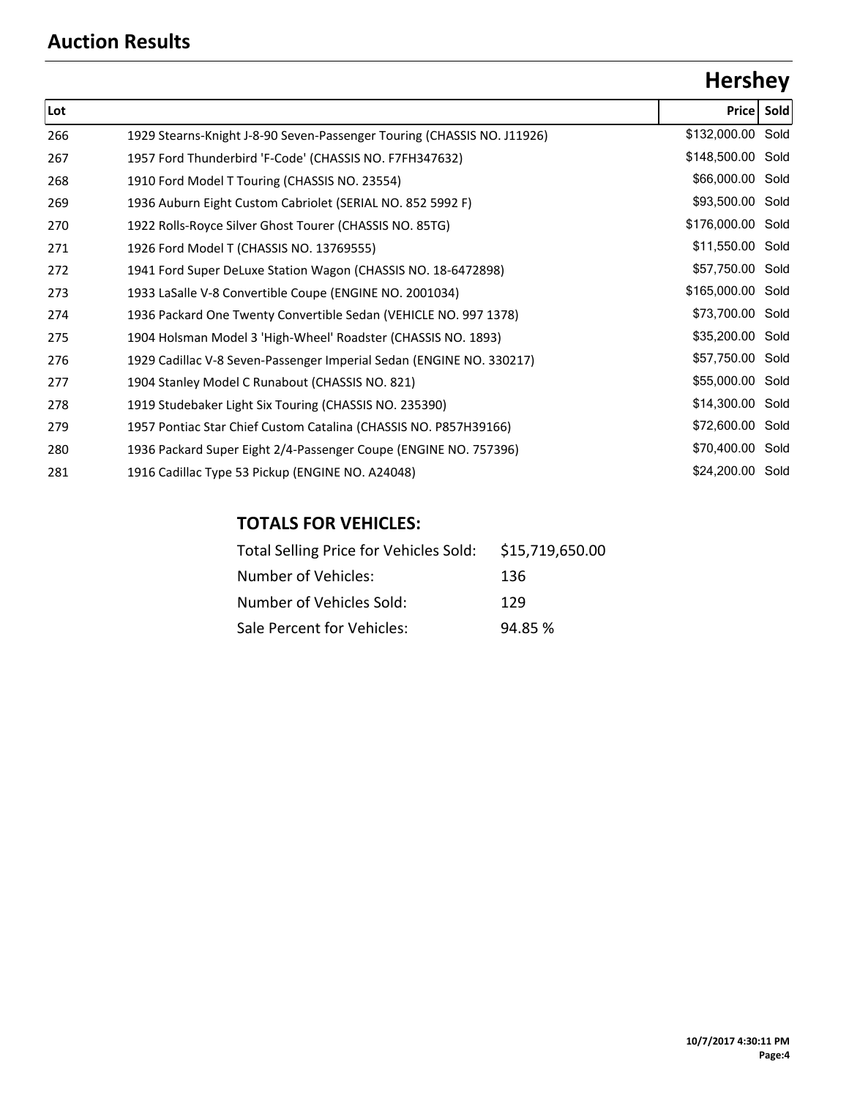# **Hershey**

| Lot |                                                                         | Price Sold        |  |
|-----|-------------------------------------------------------------------------|-------------------|--|
| 266 | 1929 Stearns-Knight J-8-90 Seven-Passenger Touring (CHASSIS NO. J11926) | \$132,000.00 Sold |  |
| 267 | 1957 Ford Thunderbird 'F-Code' (CHASSIS NO. F7FH347632)                 | \$148,500.00 Sold |  |
| 268 | 1910 Ford Model T Touring (CHASSIS NO. 23554)                           | \$66,000.00 Sold  |  |
| 269 | 1936 Auburn Eight Custom Cabriolet (SERIAL NO. 852 5992 F)              | \$93,500.00 Sold  |  |
| 270 | 1922 Rolls-Royce Silver Ghost Tourer (CHASSIS NO. 85TG)                 | \$176,000.00 Sold |  |
| 271 | 1926 Ford Model T (CHASSIS NO. 13769555)                                | \$11,550.00 Sold  |  |
| 272 | 1941 Ford Super DeLuxe Station Wagon (CHASSIS NO. 18-6472898)           | \$57,750.00 Sold  |  |
| 273 | 1933 LaSalle V-8 Convertible Coupe (ENGINE NO. 2001034)                 | \$165,000.00 Sold |  |
| 274 | 1936 Packard One Twenty Convertible Sedan (VEHICLE NO. 997 1378)        | \$73,700.00 Sold  |  |
| 275 | 1904 Holsman Model 3 'High-Wheel' Roadster (CHASSIS NO. 1893)           | \$35,200.00 Sold  |  |
| 276 | 1929 Cadillac V-8 Seven-Passenger Imperial Sedan (ENGINE NO. 330217)    | \$57,750.00 Sold  |  |
| 277 | 1904 Stanley Model C Runabout (CHASSIS NO. 821)                         | \$55,000.00 Sold  |  |
| 278 | 1919 Studebaker Light Six Touring (CHASSIS NO. 235390)                  | \$14,300.00 Sold  |  |
| 279 | 1957 Pontiac Star Chief Custom Catalina (CHASSIS NO. P857H39166)        | \$72,600.00 Sold  |  |
| 280 | 1936 Packard Super Eight 2/4-Passenger Coupe (ENGINE NO. 757396)        | \$70,400.00 Sold  |  |
| 281 | 1916 Cadillac Type 53 Pickup (ENGINE NO. A24048)                        | \$24,200.00 Sold  |  |

### **TOTALS FOR VEHICLES:**

| Total Selling Price for Vehicles Sold: | \$15,719,650.00 |
|----------------------------------------|-----------------|
| Number of Vehicles:                    | 136             |
| Number of Vehicles Sold:               | 129             |
| Sale Percent for Vehicles:             | 94.85 %         |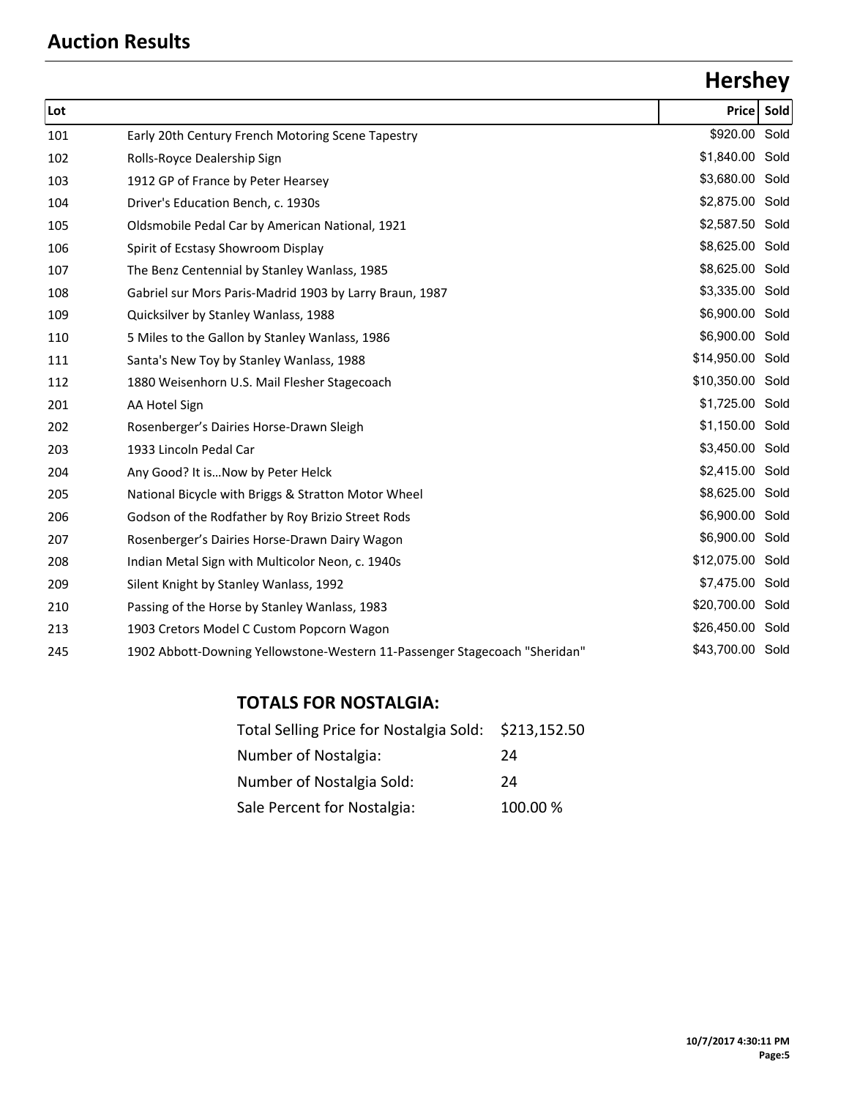# **Hershey**

| Lot |                                                                            | Price            | Sold |
|-----|----------------------------------------------------------------------------|------------------|------|
| 101 | Early 20th Century French Motoring Scene Tapestry                          | \$920.00 Sold    |      |
| 102 | Rolls-Royce Dealership Sign                                                | \$1,840.00 Sold  |      |
| 103 | 1912 GP of France by Peter Hearsey                                         | \$3,680.00 Sold  |      |
| 104 | Driver's Education Bench, c. 1930s                                         | \$2,875.00 Sold  |      |
| 105 | Oldsmobile Pedal Car by American National, 1921                            | \$2,587.50 Sold  |      |
| 106 | Spirit of Ecstasy Showroom Display                                         | \$8,625.00 Sold  |      |
| 107 | The Benz Centennial by Stanley Wanlass, 1985                               | \$8,625.00 Sold  |      |
| 108 | Gabriel sur Mors Paris-Madrid 1903 by Larry Braun, 1987                    | \$3,335.00 Sold  |      |
| 109 | Quicksilver by Stanley Wanlass, 1988                                       | \$6,900.00 Sold  |      |
| 110 | 5 Miles to the Gallon by Stanley Wanlass, 1986                             | \$6,900.00 Sold  |      |
| 111 | Santa's New Toy by Stanley Wanlass, 1988                                   | \$14,950.00 Sold |      |
| 112 | 1880 Weisenhorn U.S. Mail Flesher Stagecoach                               | \$10,350.00 Sold |      |
| 201 | AA Hotel Sign                                                              | \$1,725.00 Sold  |      |
| 202 | Rosenberger's Dairies Horse-Drawn Sleigh                                   | \$1,150.00 Sold  |      |
| 203 | 1933 Lincoln Pedal Car                                                     | \$3,450.00 Sold  |      |
| 204 | Any Good? It isNow by Peter Helck                                          | \$2,415.00 Sold  |      |
| 205 | National Bicycle with Briggs & Stratton Motor Wheel                        | \$8,625.00 Sold  |      |
| 206 | Godson of the Rodfather by Roy Brizio Street Rods                          | \$6,900.00 Sold  |      |
| 207 | Rosenberger's Dairies Horse-Drawn Dairy Wagon                              | \$6,900.00 Sold  |      |
| 208 | Indian Metal Sign with Multicolor Neon, c. 1940s                           | \$12,075.00 Sold |      |
| 209 | Silent Knight by Stanley Wanlass, 1992                                     | \$7,475.00 Sold  |      |
| 210 | Passing of the Horse by Stanley Wanlass, 1983                              | \$20,700.00 Sold |      |
| 213 | 1903 Cretors Model C Custom Popcorn Wagon                                  | \$26,450.00 Sold |      |
| 245 | 1902 Abbott-Downing Yellowstone-Western 11-Passenger Stagecoach "Sheridan" | \$43,700.00 Sold |      |
|     |                                                                            |                  |      |

### **TOTALS FOR NOSTALGIA:**

| Total Selling Price for Nostalgia Sold: \$213,152.50 |          |
|------------------------------------------------------|----------|
| Number of Nostalgia:                                 | 24       |
| Number of Nostalgia Sold:                            | 24       |
| Sale Percent for Nostalgia:                          | 100.00 % |